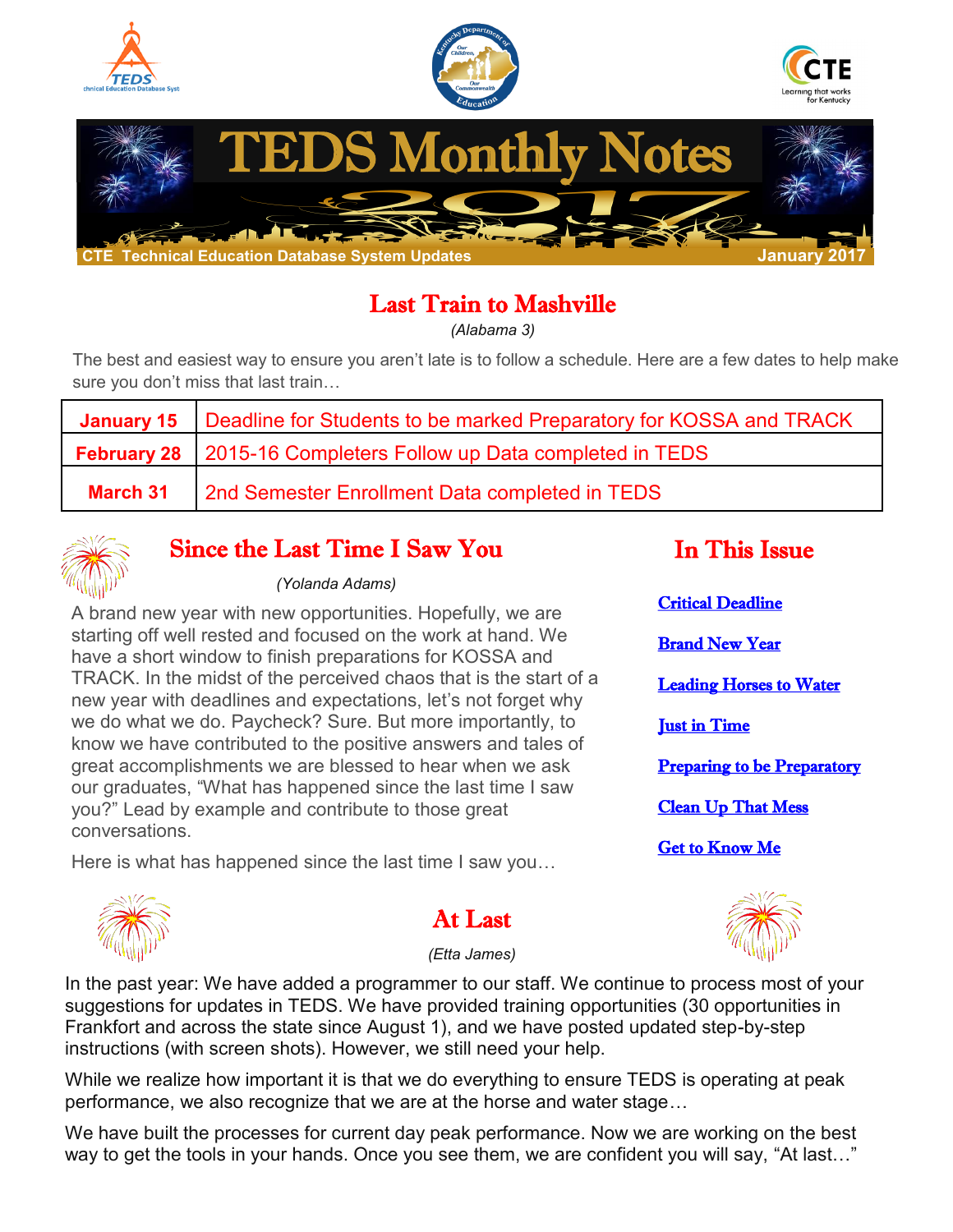<span id="page-0-0"></span>

# Last Train to Mashville

*(Alabama 3)*

The best and easiest way to ensure you aren't late is to follow a schedule. Here are a few dates to help make sure you don't miss that last train…

| January 15   Deadline for Students to be marked Preparatory for KOSSA and TRACK |
|---------------------------------------------------------------------------------|
| <b>February 28</b> 2015-16 Completers Follow up Data completed in TEDS          |
| <b>March 31</b> 2nd Semester Enrollment Data completed in TEDS                  |



#### Since the Last Time I Saw You

#### *(Yolanda Adams)*

A brand new year with new opportunities. Hopefully, we are starting off well rested and focused on the work at hand. We have a short window to finish preparations for KOSSA and TRACK. In the midst of the perceived chaos that is the start of a new year with deadlines and expectations, let's not forget why we do what we do. Paycheck? Sure. But more importantly, to know we have contributed to the positive answers and tales of great accomplishments we are blessed to hear when we ask our graduates, "What has happened since the last time I saw you?" Lead by example and contribute to those great conversations.

Here is what has happened since the last time I saw you...

| <b>Critical Deadline</b>           |  |  |  |
|------------------------------------|--|--|--|
| <b>Brand New Year</b>              |  |  |  |
| <b>Leading Horses to Water</b>     |  |  |  |
| <b>Just in Time</b>                |  |  |  |
| <b>Preparing to be Preparatory</b> |  |  |  |
| <b>Clean Up That Mess</b>          |  |  |  |
| <b>Get to Know Me</b>              |  |  |  |

In This Issue



### At Last

*(Etta James)*

In the past year: We have added a programmer to our staff. We continue to process most of your suggestions for updates in TEDS. We have provided training opportunities (30 opportunities in Frankfort and across the state since August 1), and we have posted updated step-by-step instructions (with screen shots). However, we still need your help.

While we realize how important it is that we do everything to ensure TEDS is operating at peak performance, we also recognize that we are at the horse and water stage…

We have built the processes for current day peak performance. Now we are working on the best way to get the tools in your hands. Once you see them, we are confident you will say, "At last..."